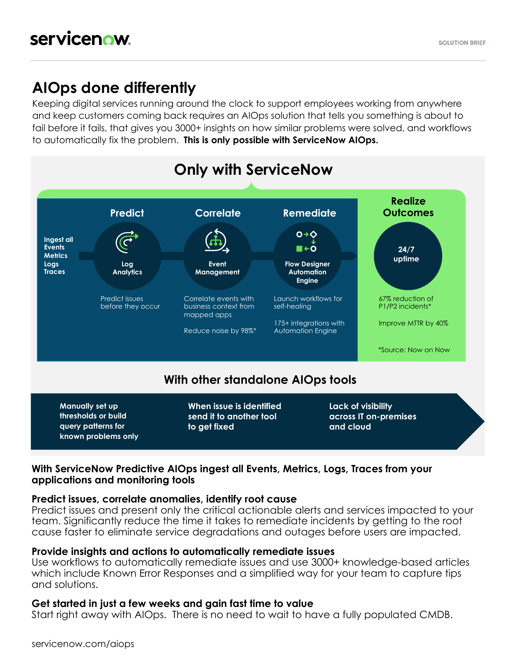## **AIOps done differently**

Keeping digital services running around the clock to support employees working from anywhere and keep customers coming back requires an AIOps solution that tells you something is about to fail before it fails, that gives you 3000+ insights on how similar problems were solved, and workflows to automatically fix the problem. **This is only possible with ServiceNow AIOps.**



### **With ServiceNow Predictive AIOps ingest all Events, Metrics, Logs, Traces from your applications and monitoring tools**

#### **Predict issues, correlate anomalies, identify root cause**

Predict issues and present only the critical actionable alerts and services impacted to your team. Significantly reduce the time it takes to remediate incidents by getting to the root cause faster to eliminate service degradations and outages before users are impacted.

#### **Provide insights and actions to automatically remediate issues**

Use workflows to automatically remediate issues and use 3000+ knowledge-based articles which include Known Error Responses and a simplified way for your team to capture tips and solutions.

#### **Get started in just a few weeks and gain fast time to value**

Start right away with AIOps. There is no need to wait to have a fully populated CMDB.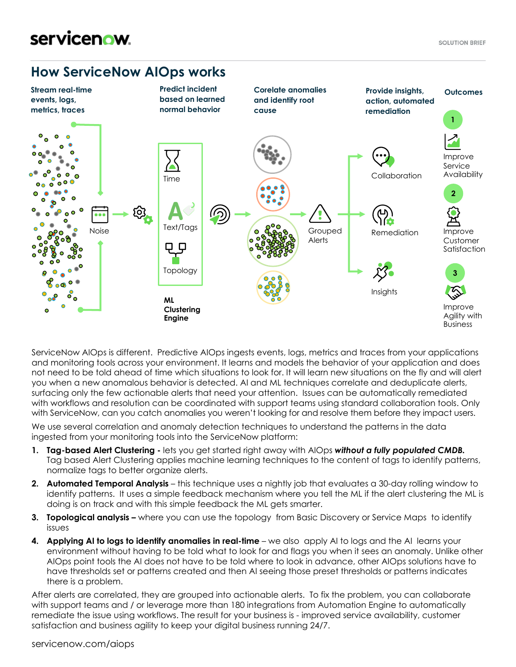# servicenow.

### **How ServiceNow AIOps works**



ServiceNow AIOps is different. Predictive AIOps ingests events, logs, metrics and traces from your applications and monitoring tools across your environment. It learns and models the behavior of your application and does not need to be told ahead of time which situations to look for. It will learn new situations on the fly and will alert you when a new anomalous behavior is detected. AI and ML techniques correlate and deduplicate alerts, surfacing only the few actionable alerts that need your attention. Issues can be automatically remediated with workflows and resolution can be coordinated with support teams using standard collaboration tools. Only with ServiceNow, can you catch anomalies you weren't looking for and resolve them before they impact users.

We use several correlation and anomaly detection techniques to understand the patterns in the data ingested from your monitoring tools into the ServiceNow platform:

- **1. Tag-based Alert Clustering -** lets you get started right away with AIOps *without a fully populated CMDB.*  Tag based Alert Clustering applies machine learning techniques to the content of tags to identify patterns, normalize tags to better organize alerts.
- **2. Automated Temporal Analysis**  this technique uses a nightly job that evaluates a 30-day rolling window to identify patterns. It uses a simple feedback mechanism where you tell the ML if the alert clustering the ML is doing is on track and with this simple feedback the ML gets smarter.
- **3. Topological analysis –** where you can use the topology from Basic Discovery or Service Maps to identify issues
- **4. Applying AI to logs to identify anomalies in real-time** we also apply AI to logs and the AI learns your environment without having to be told what to look for and flags you when it sees an anomaly. Unlike other AIOps point tools the AI does not have to be told where to look in advance, other AIOps solutions have to have thresholds set or patterns created and then AI seeing those preset thresholds or patterns indicates there is a problem.

After alerts are correlated, they are grouped into actionable alerts. To fix the problem, you can collaborate with support teams and / or leverage more than 180 integrations from Automation Engine to automatically remediate the issue using workflows. The result for your business is - improved service availability, customer satisfaction and business agility to keep your digital business running 24/7.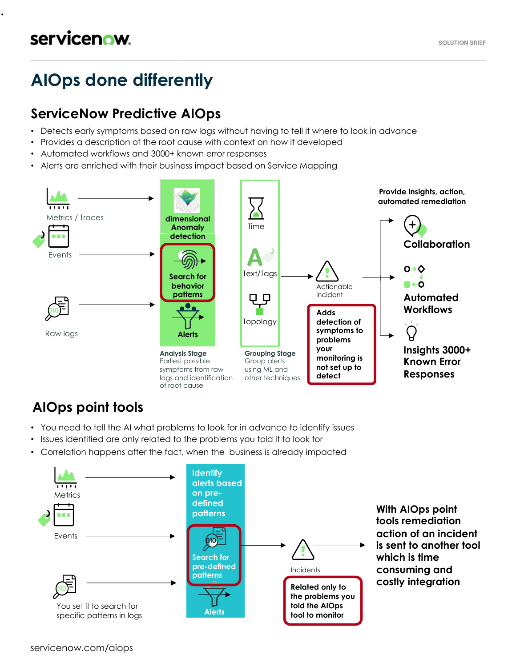.

# **AIOps done differently**

## **ServiceNow Predictive AIOps**

- Detects early symptoms based on raw logs without having to tell it where to look in advance
- Provides a description of the root cause with context on how it developed
- Automated workflows and 3000+ known error responses
- Alerts are enriched with their business impact based on Service Mapping



## **AIOps point tools**

- You need to tell the AI what problems to look for in advance to identify issues
- Issues identified are only related to the problems you told it to look for
- Correlation happens after the fact, when the business is already impacted

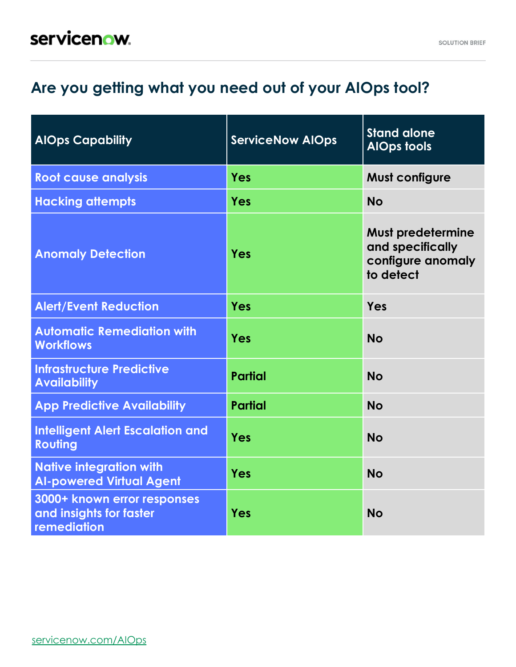# **Are you getting what you need out of your AIOps tool?**

| <b>AlOps Capability</b>                                               | <b>ServiceNow AlOps</b> | <b>Stand alone</b><br><b>AlOps tools</b>                                       |
|-----------------------------------------------------------------------|-------------------------|--------------------------------------------------------------------------------|
| <b>Root cause analysis</b>                                            | <b>Yes</b>              | <b>Must configure</b>                                                          |
| <b>Hacking attempts</b>                                               | <b>Yes</b>              | <b>No</b>                                                                      |
| <b>Anomaly Detection</b>                                              | <b>Yes</b>              | <b>Must predetermine</b><br>and specifically<br>configure anomaly<br>to detect |
| <b>Alert/Event Reduction</b>                                          | <b>Yes</b>              | Yes                                                                            |
| <b>Automatic Remediation with</b><br><b>Workflows</b>                 | Yes                     | <b>No</b>                                                                      |
| <b>Infrastructure Predictive</b><br><b>Availability</b>               | <b>Partial</b>          | <b>No</b>                                                                      |
| <b>App Predictive Availability</b>                                    | <b>Partial</b>          | <b>No</b>                                                                      |
| <b>Intelligent Alert Escalation and</b><br>Routing                    | <b>Yes</b>              | <b>No</b>                                                                      |
| <b>Native integration with</b><br><b>Al-powered Virtual Agent</b>     | <b>Yes</b>              | <b>No</b>                                                                      |
| 3000+ known error responses<br>and insights for faster<br>remediation | Yes                     | <b>No</b>                                                                      |